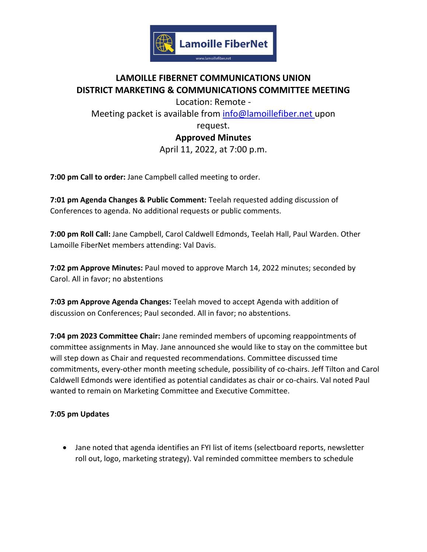

# **LAMOILLE FIBERNET COMMUNICATIONS UNION DISTRICT MARKETING & COMMUNICATIONS COMMITTEE MEETING**

Location: Remote Meeting packet is available from [info@lamoillefiber.net](mailto:info@lamoillefiber.net) upon

> request. **Approved Minutes** April 11, 2022, at 7:00 p.m.

**7:00 pm Call to order:** Jane Campbell called meeting to order.

**7:01 pm Agenda Changes & Public Comment:** Teelah requested adding discussion of Conferences to agenda. No additional requests or public comments.

**7:00 pm Roll Call:** Jane Campbell, Carol Caldwell Edmonds, Teelah Hall, Paul Warden. Other Lamoille FiberNet members attending: Val Davis.

**7:02 pm Approve Minutes:** Paul moved to approve March 14, 2022 minutes; seconded by Carol. All in favor; no abstentions

**7:03 pm Approve Agenda Changes:** Teelah moved to accept Agenda with addition of discussion on Conferences; Paul seconded. All in favor; no abstentions.

**7:04 pm 2023 Committee Chair:** Jane reminded members of upcoming reappointments of committee assignments in May. Jane announced she would like to stay on the committee but will step down as Chair and requested recommendations. Committee discussed time commitments, every-other month meeting schedule, possibility of co-chairs. Jeff Tilton and Carol Caldwell Edmonds were identified as potential candidates as chair or co-chairs. Val noted Paul wanted to remain on Marketing Committee and Executive Committee.

## **7:05 pm Updates**

• Jane noted that agenda identifies an FYI list of items (selectboard reports, newsletter roll out, logo, marketing strategy). Val reminded committee members to schedule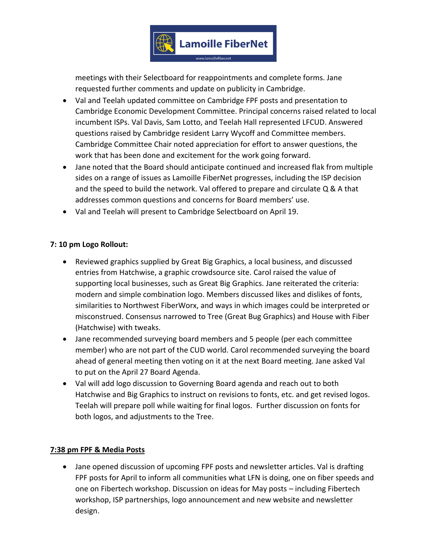

meetings with their Selectboard for reappointments and complete forms. Jane requested further comments and update on publicity in Cambridge.

- Val and Teelah updated committee on Cambridge FPF posts and presentation to Cambridge Economic Development Committee. Principal concerns raised related to local incumbent ISPs. Val Davis, Sam Lotto, and Teelah Hall represented LFCUD. Answered questions raised by Cambridge resident Larry Wycoff and Committee members. Cambridge Committee Chair noted appreciation for effort to answer questions, the work that has been done and excitement for the work going forward.
- Jane noted that the Board should anticipate continued and increased flak from multiple sides on a range of issues as Lamoille FiberNet progresses, including the ISP decision and the speed to build the network. Val offered to prepare and circulate Q & A that addresses common questions and concerns for Board members' use.
- Val and Teelah will present to Cambridge Selectboard on April 19.

#### **7: 10 pm Logo Rollout:**

- Reviewed graphics supplied by Great Big Graphics, a local business, and discussed entries from Hatchwise, a graphic crowdsource site. Carol raised the value of supporting local businesses, such as Great Big Graphics. Jane reiterated the criteria: modern and simple combination logo. Members discussed likes and dislikes of fonts, similarities to Northwest FiberWorx, and ways in which images could be interpreted or misconstrued. Consensus narrowed to Tree (Great Bug Graphics) and House with Fiber (Hatchwise) with tweaks.
- Jane recommended surveying board members and 5 people (per each committee member) who are not part of the CUD world. Carol recommended surveying the board ahead of general meeting then voting on it at the next Board meeting. Jane asked Val to put on the April 27 Board Agenda.
- Val will add logo discussion to Governing Board agenda and reach out to both Hatchwise and Big Graphics to instruct on revisions to fonts, etc. and get revised logos. Teelah will prepare poll while waiting for final logos. Further discussion on fonts for both logos, and adjustments to the Tree.

#### **7:38 pm FPF & Media Posts**

• Jane opened discussion of upcoming FPF posts and newsletter articles. Val is drafting FPF posts for April to inform all communities what LFN is doing, one on fiber speeds and one on Fibertech workshop. Discussion on ideas for May posts – including Fibertech workshop, ISP partnerships, logo announcement and new website and newsletter design.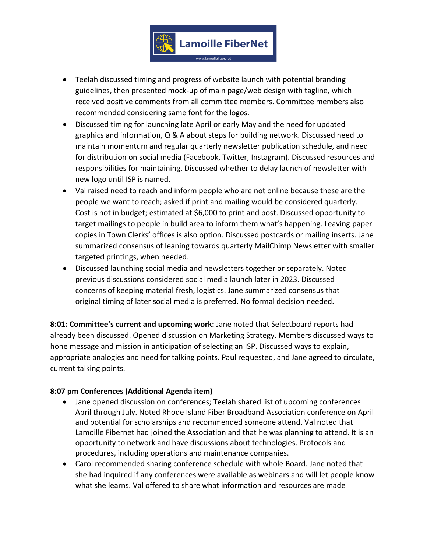

- Teelah discussed timing and progress of website launch with potential branding guidelines, then presented mock-up of main page/web design with tagline, which received positive comments from all committee members. Committee members also recommended considering same font for the logos.
- Discussed timing for launching late April or early May and the need for updated graphics and information, Q & A about steps for building network. Discussed need to maintain momentum and regular quarterly newsletter publication schedule, and need for distribution on social media (Facebook, Twitter, Instagram). Discussed resources and responsibilities for maintaining. Discussed whether to delay launch of newsletter with new logo until ISP is named.
- Val raised need to reach and inform people who are not online because these are the people we want to reach; asked if print and mailing would be considered quarterly. Cost is not in budget; estimated at \$6,000 to print and post. Discussed opportunity to target mailings to people in build area to inform them what's happening. Leaving paper copies in Town Clerks' offices is also option. Discussed postcards or mailing inserts. Jane summarized consensus of leaning towards quarterly MailChimp Newsletter with smaller targeted printings, when needed.
- Discussed launching social media and newsletters together or separately. Noted previous discussions considered social media launch later in 2023. Discussed concerns of keeping material fresh, logistics. Jane summarized consensus that original timing of later social media is preferred. No formal decision needed.

**8:01: Committee's current and upcoming work:** Jane noted that Selectboard reports had already been discussed. Opened discussion on Marketing Strategy. Members discussed ways to hone message and mission in anticipation of selecting an ISP. Discussed ways to explain, appropriate analogies and need for talking points. Paul requested, and Jane agreed to circulate, current talking points.

### **8:07 pm Conferences (Additional Agenda item)**

- Jane opened discussion on conferences; Teelah shared list of upcoming conferences April through July. Noted Rhode Island Fiber Broadband Association conference on April and potential for scholarships and recommended someone attend. Val noted that Lamoille Fibernet had joined the Association and that he was planning to attend. It is an opportunity to network and have discussions about technologies. Protocols and procedures, including operations and maintenance companies.
- Carol recommended sharing conference schedule with whole Board. Jane noted that she had inquired if any conferences were available as webinars and will let people know what she learns. Val offered to share what information and resources are made